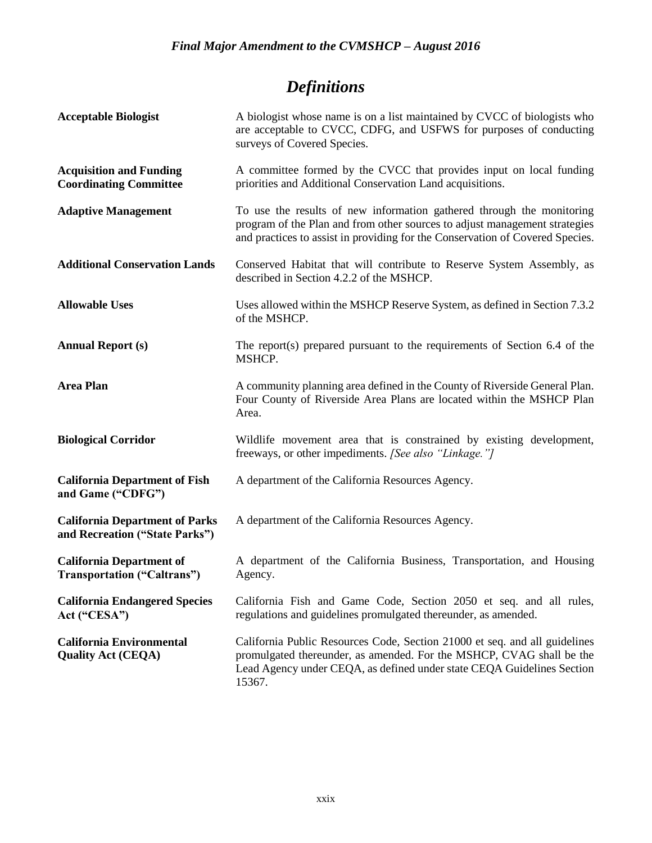# *Definitions*

| <b>Acceptable Biologist</b>                                             | A biologist whose name is on a list maintained by CVCC of biologists who<br>are acceptable to CVCC, CDFG, and USFWS for purposes of conducting<br>surveys of Covered Species.                                                          |
|-------------------------------------------------------------------------|----------------------------------------------------------------------------------------------------------------------------------------------------------------------------------------------------------------------------------------|
| <b>Acquisition and Funding</b><br><b>Coordinating Committee</b>         | A committee formed by the CVCC that provides input on local funding<br>priorities and Additional Conservation Land acquisitions.                                                                                                       |
| <b>Adaptive Management</b>                                              | To use the results of new information gathered through the monitoring<br>program of the Plan and from other sources to adjust management strategies<br>and practices to assist in providing for the Conservation of Covered Species.   |
| <b>Additional Conservation Lands</b>                                    | Conserved Habitat that will contribute to Reserve System Assembly, as<br>described in Section 4.2.2 of the MSHCP.                                                                                                                      |
| <b>Allowable Uses</b>                                                   | Uses allowed within the MSHCP Reserve System, as defined in Section 7.3.2<br>of the MSHCP.                                                                                                                                             |
| <b>Annual Report (s)</b>                                                | The report(s) prepared pursuant to the requirements of Section 6.4 of the<br>MSHCP.                                                                                                                                                    |
| <b>Area Plan</b>                                                        | A community planning area defined in the County of Riverside General Plan.<br>Four County of Riverside Area Plans are located within the MSHCP Plan<br>Area.                                                                           |
| <b>Biological Corridor</b>                                              | Wildlife movement area that is constrained by existing development,<br>freeways, or other impediments. [See also "Linkage."]                                                                                                           |
| <b>California Department of Fish</b><br>and Game ("CDFG")               | A department of the California Resources Agency.                                                                                                                                                                                       |
| <b>California Department of Parks</b><br>and Recreation ("State Parks") | A department of the California Resources Agency.                                                                                                                                                                                       |
| <b>California Department of</b><br>Transportation ("Caltrans")          | A department of the California Business, Transportation, and Housing<br>Agency.                                                                                                                                                        |
| <b>California Endangered Species</b><br>Act ("CESA")                    | California Fish and Game Code, Section 2050 et seq. and all rules,<br>regulations and guidelines promulgated thereunder, as amended.                                                                                                   |
| <b>California Environmental</b><br><b>Quality Act (CEQA)</b>            | California Public Resources Code, Section 21000 et seq. and all guidelines<br>promulgated thereunder, as amended. For the MSHCP, CVAG shall be the<br>Lead Agency under CEQA, as defined under state CEQA Guidelines Section<br>15367. |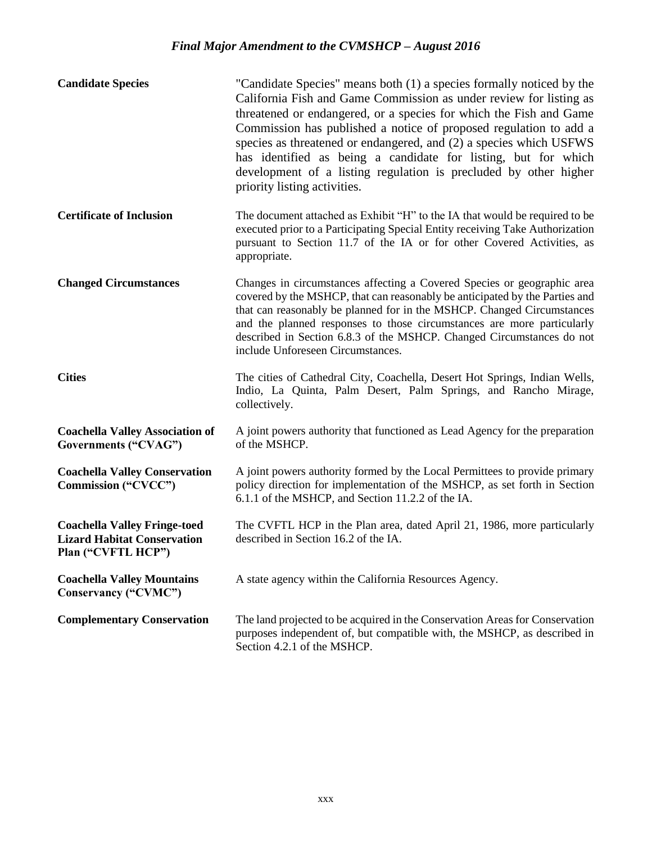| <b>Candidate Species</b>                                                                        | "Candidate Species" means both (1) a species formally noticed by the<br>California Fish and Game Commission as under review for listing as<br>threatened or endangered, or a species for which the Fish and Game<br>Commission has published a notice of proposed regulation to add a<br>species as threatened or endangered, and (2) a species which USFWS<br>has identified as being a candidate for listing, but for which<br>development of a listing regulation is precluded by other higher<br>priority listing activities. |
|-------------------------------------------------------------------------------------------------|-----------------------------------------------------------------------------------------------------------------------------------------------------------------------------------------------------------------------------------------------------------------------------------------------------------------------------------------------------------------------------------------------------------------------------------------------------------------------------------------------------------------------------------|
| <b>Certificate of Inclusion</b>                                                                 | The document attached as Exhibit "H" to the IA that would be required to be<br>executed prior to a Participating Special Entity receiving Take Authorization<br>pursuant to Section 11.7 of the IA or for other Covered Activities, as<br>appropriate.                                                                                                                                                                                                                                                                            |
| <b>Changed Circumstances</b>                                                                    | Changes in circumstances affecting a Covered Species or geographic area<br>covered by the MSHCP, that can reasonably be anticipated by the Parties and<br>that can reasonably be planned for in the MSHCP. Changed Circumstances<br>and the planned responses to those circumstances are more particularly<br>described in Section 6.8.3 of the MSHCP. Changed Circumstances do not<br>include Unforeseen Circumstances.                                                                                                          |
| <b>Cities</b>                                                                                   | The cities of Cathedral City, Coachella, Desert Hot Springs, Indian Wells,<br>Indio, La Quinta, Palm Desert, Palm Springs, and Rancho Mirage,<br>collectively.                                                                                                                                                                                                                                                                                                                                                                    |
| <b>Coachella Valley Association of</b><br>Governments ("CVAG")                                  | A joint powers authority that functioned as Lead Agency for the preparation<br>of the MSHCP.                                                                                                                                                                                                                                                                                                                                                                                                                                      |
| <b>Coachella Valley Conservation</b><br>Commission ("CVCC")                                     | A joint powers authority formed by the Local Permittees to provide primary<br>policy direction for implementation of the MSHCP, as set forth in Section<br>6.1.1 of the MSHCP, and Section 11.2.2 of the IA.                                                                                                                                                                                                                                                                                                                      |
| <b>Coachella Valley Fringe-toed</b><br><b>Lizard Habitat Conservation</b><br>Plan ("CVFTL HCP") | The CVFTL HCP in the Plan area, dated April 21, 1986, more particularly<br>described in Section 16.2 of the IA.                                                                                                                                                                                                                                                                                                                                                                                                                   |
| <b>Coachella Valley Mountains</b><br>Conservancy ("CVMC")                                       | A state agency within the California Resources Agency.                                                                                                                                                                                                                                                                                                                                                                                                                                                                            |
| <b>Complementary Conservation</b>                                                               | The land projected to be acquired in the Conservation Areas for Conservation<br>purposes independent of, but compatible with, the MSHCP, as described in<br>Section 4.2.1 of the MSHCP.                                                                                                                                                                                                                                                                                                                                           |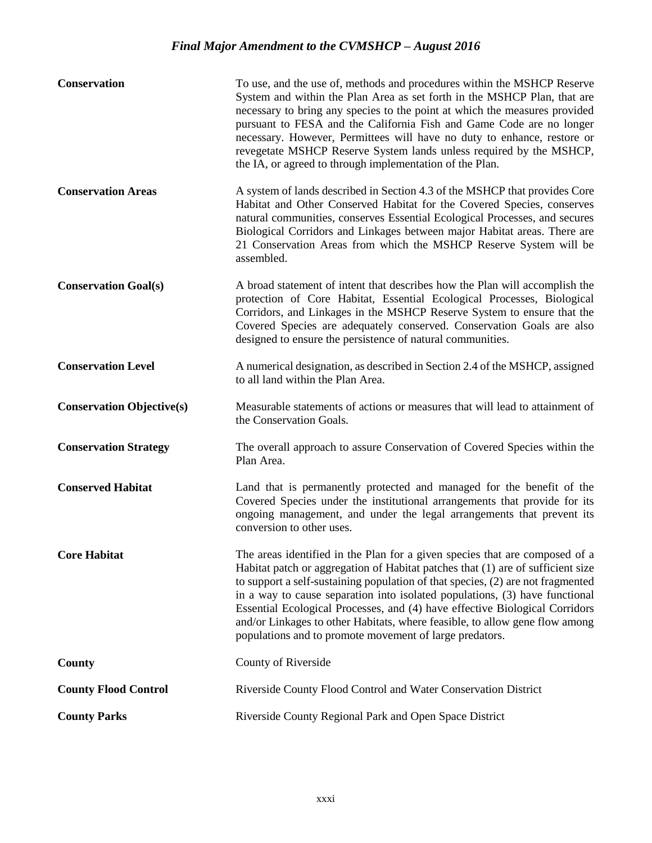| <b>Conservation</b>              | To use, and the use of, methods and procedures within the MSHCP Reserve<br>System and within the Plan Area as set forth in the MSHCP Plan, that are<br>necessary to bring any species to the point at which the measures provided<br>pursuant to FESA and the California Fish and Game Code are no longer<br>necessary. However, Permittees will have no duty to enhance, restore or<br>revegetate MSHCP Reserve System lands unless required by the MSHCP,<br>the IA, or agreed to through implementation of the Plan.                                   |
|----------------------------------|-----------------------------------------------------------------------------------------------------------------------------------------------------------------------------------------------------------------------------------------------------------------------------------------------------------------------------------------------------------------------------------------------------------------------------------------------------------------------------------------------------------------------------------------------------------|
| <b>Conservation Areas</b>        | A system of lands described in Section 4.3 of the MSHCP that provides Core<br>Habitat and Other Conserved Habitat for the Covered Species, conserves<br>natural communities, conserves Essential Ecological Processes, and secures<br>Biological Corridors and Linkages between major Habitat areas. There are<br>21 Conservation Areas from which the MSHCP Reserve System will be<br>assembled.                                                                                                                                                         |
| <b>Conservation Goal(s)</b>      | A broad statement of intent that describes how the Plan will accomplish the<br>protection of Core Habitat, Essential Ecological Processes, Biological<br>Corridors, and Linkages in the MSHCP Reserve System to ensure that the<br>Covered Species are adequately conserved. Conservation Goals are also<br>designed to ensure the persistence of natural communities.                                                                                                                                                                                    |
| <b>Conservation Level</b>        | A numerical designation, as described in Section 2.4 of the MSHCP, assigned<br>to all land within the Plan Area.                                                                                                                                                                                                                                                                                                                                                                                                                                          |
| <b>Conservation Objective(s)</b> | Measurable statements of actions or measures that will lead to attainment of<br>the Conservation Goals.                                                                                                                                                                                                                                                                                                                                                                                                                                                   |
| <b>Conservation Strategy</b>     | The overall approach to assure Conservation of Covered Species within the<br>Plan Area.                                                                                                                                                                                                                                                                                                                                                                                                                                                                   |
| <b>Conserved Habitat</b>         | Land that is permanently protected and managed for the benefit of the<br>Covered Species under the institutional arrangements that provide for its<br>ongoing management, and under the legal arrangements that prevent its<br>conversion to other uses.                                                                                                                                                                                                                                                                                                  |
| <b>Core Habitat</b>              | The areas identified in the Plan for a given species that are composed of a<br>Habitat patch or aggregation of Habitat patches that (1) are of sufficient size<br>to support a self-sustaining population of that species, (2) are not fragmented<br>in a way to cause separation into isolated populations, (3) have functional<br>Essential Ecological Processes, and (4) have effective Biological Corridors<br>and/or Linkages to other Habitats, where feasible, to allow gene flow among<br>populations and to promote movement of large predators. |
| County                           | County of Riverside                                                                                                                                                                                                                                                                                                                                                                                                                                                                                                                                       |
| <b>County Flood Control</b>      | Riverside County Flood Control and Water Conservation District                                                                                                                                                                                                                                                                                                                                                                                                                                                                                            |
| <b>County Parks</b>              | Riverside County Regional Park and Open Space District                                                                                                                                                                                                                                                                                                                                                                                                                                                                                                    |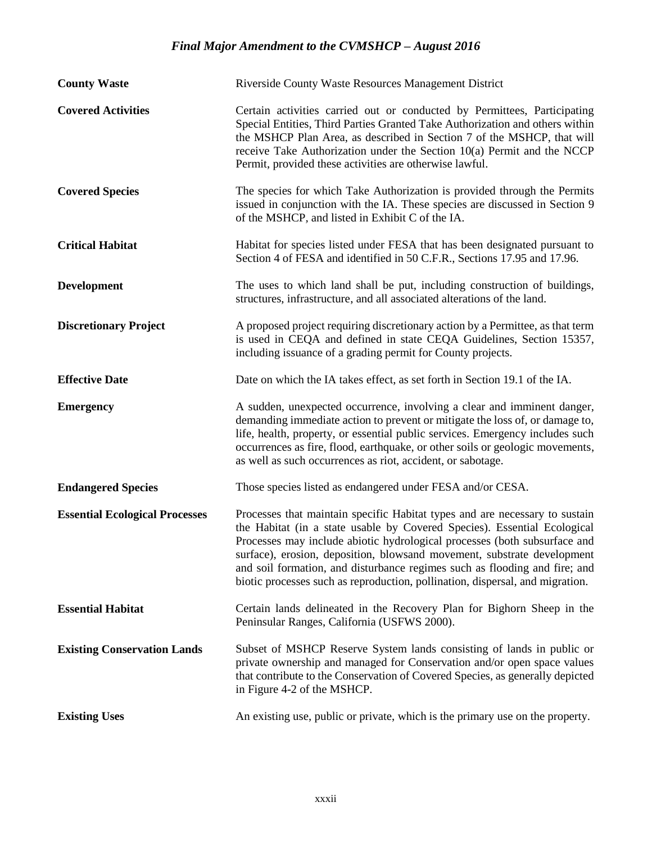| <b>County Waste</b>                   | Riverside County Waste Resources Management District                                                                                                                                                                                                                                                                                                                                                                                                                           |
|---------------------------------------|--------------------------------------------------------------------------------------------------------------------------------------------------------------------------------------------------------------------------------------------------------------------------------------------------------------------------------------------------------------------------------------------------------------------------------------------------------------------------------|
| <b>Covered Activities</b>             | Certain activities carried out or conducted by Permittees, Participating<br>Special Entities, Third Parties Granted Take Authorization and others within<br>the MSHCP Plan Area, as described in Section 7 of the MSHCP, that will<br>receive Take Authorization under the Section $10(a)$ Permit and the NCCP<br>Permit, provided these activities are otherwise lawful.                                                                                                      |
| <b>Covered Species</b>                | The species for which Take Authorization is provided through the Permits<br>issued in conjunction with the IA. These species are discussed in Section 9<br>of the MSHCP, and listed in Exhibit C of the IA.                                                                                                                                                                                                                                                                    |
| <b>Critical Habitat</b>               | Habitat for species listed under FESA that has been designated pursuant to<br>Section 4 of FESA and identified in 50 C.F.R., Sections 17.95 and 17.96.                                                                                                                                                                                                                                                                                                                         |
| <b>Development</b>                    | The uses to which land shall be put, including construction of buildings,<br>structures, infrastructure, and all associated alterations of the land.                                                                                                                                                                                                                                                                                                                           |
| <b>Discretionary Project</b>          | A proposed project requiring discretionary action by a Permittee, as that term<br>is used in CEQA and defined in state CEQA Guidelines, Section 15357,<br>including issuance of a grading permit for County projects.                                                                                                                                                                                                                                                          |
| <b>Effective Date</b>                 | Date on which the IA takes effect, as set forth in Section 19.1 of the IA.                                                                                                                                                                                                                                                                                                                                                                                                     |
| <b>Emergency</b>                      | A sudden, unexpected occurrence, involving a clear and imminent danger,<br>demanding immediate action to prevent or mitigate the loss of, or damage to,<br>life, health, property, or essential public services. Emergency includes such<br>occurrences as fire, flood, earthquake, or other soils or geologic movements,<br>as well as such occurrences as riot, accident, or sabotage.                                                                                       |
| <b>Endangered Species</b>             | Those species listed as endangered under FESA and/or CESA.                                                                                                                                                                                                                                                                                                                                                                                                                     |
| <b>Essential Ecological Processes</b> | Processes that maintain specific Habitat types and are necessary to sustain<br>the Habitat (in a state usable by Covered Species). Essential Ecological<br>Processes may include abiotic hydrological processes (both subsurface and<br>surface), erosion, deposition, blowsand movement, substrate development<br>and soil formation, and disturbance regimes such as flooding and fire; and<br>biotic processes such as reproduction, pollination, dispersal, and migration. |
| <b>Essential Habitat</b>              | Certain lands delineated in the Recovery Plan for Bighorn Sheep in the<br>Peninsular Ranges, California (USFWS 2000).                                                                                                                                                                                                                                                                                                                                                          |
| <b>Existing Conservation Lands</b>    | Subset of MSHCP Reserve System lands consisting of lands in public or<br>private ownership and managed for Conservation and/or open space values<br>that contribute to the Conservation of Covered Species, as generally depicted<br>in Figure 4-2 of the MSHCP.                                                                                                                                                                                                               |
| <b>Existing Uses</b>                  | An existing use, public or private, which is the primary use on the property.                                                                                                                                                                                                                                                                                                                                                                                                  |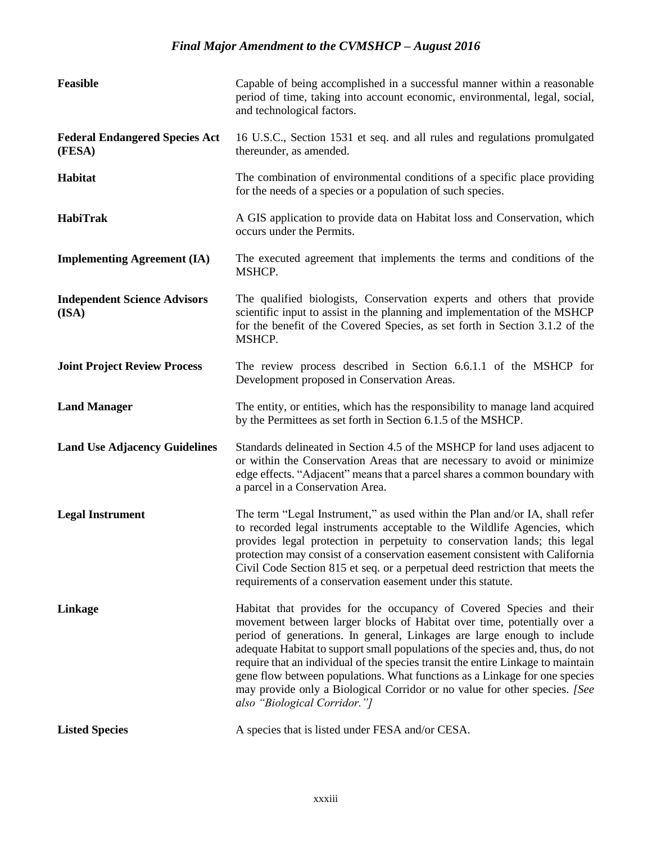| Feasible                                        | Capable of being accomplished in a successful manner within a reasonable<br>period of time, taking into account economic, environmental, legal, social,<br>and technological factors.                                                                                                                                                                                                                                                                                                                                                                                                        |
|-------------------------------------------------|----------------------------------------------------------------------------------------------------------------------------------------------------------------------------------------------------------------------------------------------------------------------------------------------------------------------------------------------------------------------------------------------------------------------------------------------------------------------------------------------------------------------------------------------------------------------------------------------|
| <b>Federal Endangered Species Act</b><br>(FESA) | 16 U.S.C., Section 1531 et seq. and all rules and regulations promulgated<br>thereunder, as amended.                                                                                                                                                                                                                                                                                                                                                                                                                                                                                         |
| Habitat                                         | The combination of environmental conditions of a specific place providing<br>for the needs of a species or a population of such species.                                                                                                                                                                                                                                                                                                                                                                                                                                                     |
| HabiTrak                                        | A GIS application to provide data on Habitat loss and Conservation, which<br>occurs under the Permits.                                                                                                                                                                                                                                                                                                                                                                                                                                                                                       |
| <b>Implementing Agreement (IA)</b>              | The executed agreement that implements the terms and conditions of the<br>MSHCP.                                                                                                                                                                                                                                                                                                                                                                                                                                                                                                             |
| <b>Independent Science Advisors</b><br>(ISA)    | The qualified biologists, Conservation experts and others that provide<br>scientific input to assist in the planning and implementation of the MSHCP<br>for the benefit of the Covered Species, as set forth in Section 3.1.2 of the<br>MSHCP.                                                                                                                                                                                                                                                                                                                                               |
| <b>Joint Project Review Process</b>             | The review process described in Section 6.6.1.1 of the MSHCP for<br>Development proposed in Conservation Areas.                                                                                                                                                                                                                                                                                                                                                                                                                                                                              |
| <b>Land Manager</b>                             | The entity, or entities, which has the responsibility to manage land acquired<br>by the Permittees as set forth in Section 6.1.5 of the MSHCP.                                                                                                                                                                                                                                                                                                                                                                                                                                               |
| <b>Land Use Adjacency Guidelines</b>            | Standards delineated in Section 4.5 of the MSHCP for land uses adjacent to<br>or within the Conservation Areas that are necessary to avoid or minimize<br>edge effects. "Adjacent" means that a parcel shares a common boundary with<br>a parcel in a Conservation Area.                                                                                                                                                                                                                                                                                                                     |
| <b>Legal Instrument</b>                         | The term "Legal Instrument," as used within the Plan and/or IA, shall refer<br>to recorded legal instruments acceptable to the Wildlife Agencies, which<br>provides legal protection in perpetuity to conservation lands; this legal<br>protection may consist of a conservation easement consistent with California<br>Civil Code Section 815 et seq. or a perpetual deed restriction that meets the<br>requirements of a conservation easement under this statute.                                                                                                                         |
| Linkage                                         | Habitat that provides for the occupancy of Covered Species and their<br>movement between larger blocks of Habitat over time, potentially over a<br>period of generations. In general, Linkages are large enough to include<br>adequate Habitat to support small populations of the species and, thus, do not<br>require that an individual of the species transit the entire Linkage to maintain<br>gene flow between populations. What functions as a Linkage for one species<br>may provide only a Biological Corridor or no value for other species. [See<br>also "Biological Corridor."] |
| <b>Listed Species</b>                           | A species that is listed under FESA and/or CESA.                                                                                                                                                                                                                                                                                                                                                                                                                                                                                                                                             |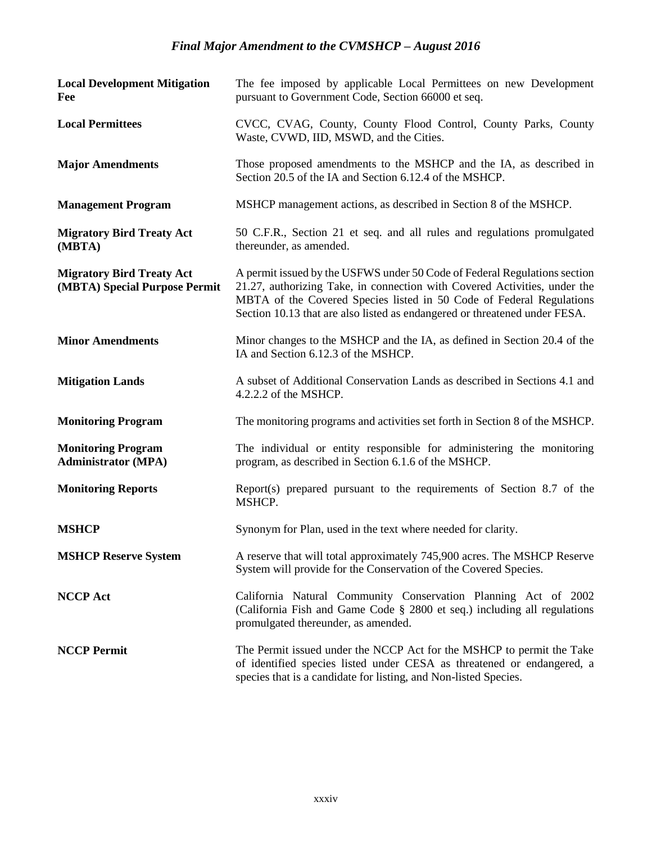| <b>Local Development Mitigation</b><br>Fee                        | The fee imposed by applicable Local Permittees on new Development<br>pursuant to Government Code, Section 66000 et seq.                                                                                                                                                                                      |
|-------------------------------------------------------------------|--------------------------------------------------------------------------------------------------------------------------------------------------------------------------------------------------------------------------------------------------------------------------------------------------------------|
| <b>Local Permittees</b>                                           | CVCC, CVAG, County, County Flood Control, County Parks, County<br>Waste, CVWD, IID, MSWD, and the Cities.                                                                                                                                                                                                    |
| <b>Major Amendments</b>                                           | Those proposed amendments to the MSHCP and the IA, as described in<br>Section 20.5 of the IA and Section 6.12.4 of the MSHCP.                                                                                                                                                                                |
| <b>Management Program</b>                                         | MSHCP management actions, as described in Section 8 of the MSHCP.                                                                                                                                                                                                                                            |
| <b>Migratory Bird Treaty Act</b><br>(MBTA)                        | 50 C.F.R., Section 21 et seq. and all rules and regulations promulgated<br>thereunder, as amended.                                                                                                                                                                                                           |
| <b>Migratory Bird Treaty Act</b><br>(MBTA) Special Purpose Permit | A permit issued by the USFWS under 50 Code of Federal Regulations section<br>21.27, authorizing Take, in connection with Covered Activities, under the<br>MBTA of the Covered Species listed in 50 Code of Federal Regulations<br>Section 10.13 that are also listed as endangered or threatened under FESA. |
| <b>Minor Amendments</b>                                           | Minor changes to the MSHCP and the IA, as defined in Section 20.4 of the<br>IA and Section 6.12.3 of the MSHCP.                                                                                                                                                                                              |
| <b>Mitigation Lands</b>                                           | A subset of Additional Conservation Lands as described in Sections 4.1 and<br>4.2.2.2 of the MSHCP.                                                                                                                                                                                                          |
| <b>Monitoring Program</b>                                         | The monitoring programs and activities set forth in Section 8 of the MSHCP.                                                                                                                                                                                                                                  |
| <b>Monitoring Program</b><br><b>Administrator (MPA)</b>           | The individual or entity responsible for administering the monitoring<br>program, as described in Section 6.1.6 of the MSHCP.                                                                                                                                                                                |
| <b>Monitoring Reports</b>                                         | Report(s) prepared pursuant to the requirements of Section 8.7 of the<br>MSHCP.                                                                                                                                                                                                                              |
| <b>MSHCP</b>                                                      | Synonym for Plan, used in the text where needed for clarity.                                                                                                                                                                                                                                                 |
| <b>MSHCP Reserve System</b>                                       | A reserve that will total approximately 745,900 acres. The MSHCP Reserve<br>System will provide for the Conservation of the Covered Species.                                                                                                                                                                 |
| <b>NCCP Act</b>                                                   | California Natural Community Conservation Planning Act of 2002<br>(California Fish and Game Code § 2800 et seq.) including all regulations<br>promulgated thereunder, as amended.                                                                                                                            |
| <b>NCCP Permit</b>                                                | The Permit issued under the NCCP Act for the MSHCP to permit the Take<br>of identified species listed under CESA as threatened or endangered, a<br>species that is a candidate for listing, and Non-listed Species.                                                                                          |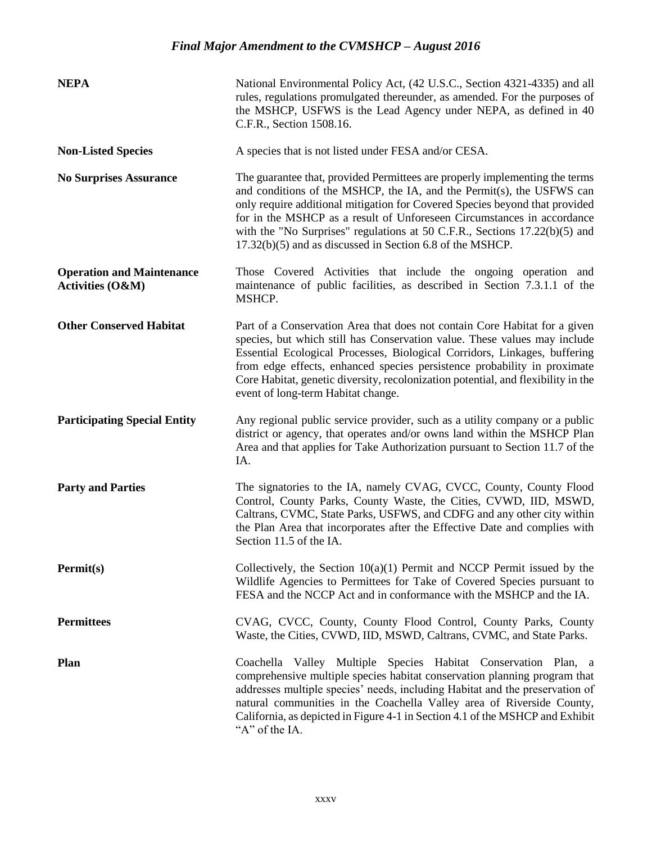| <b>NEPA</b>                                                     | National Environmental Policy Act, (42 U.S.C., Section 4321-4335) and all<br>rules, regulations promulgated thereunder, as amended. For the purposes of<br>the MSHCP, USFWS is the Lead Agency under NEPA, as defined in 40<br>C.F.R., Section 1508.16.                                                                                                                                                                                                    |
|-----------------------------------------------------------------|------------------------------------------------------------------------------------------------------------------------------------------------------------------------------------------------------------------------------------------------------------------------------------------------------------------------------------------------------------------------------------------------------------------------------------------------------------|
| <b>Non-Listed Species</b>                                       | A species that is not listed under FESA and/or CESA.                                                                                                                                                                                                                                                                                                                                                                                                       |
| <b>No Surprises Assurance</b>                                   | The guarantee that, provided Permittees are properly implementing the terms<br>and conditions of the MSHCP, the IA, and the Permit(s), the USFWS can<br>only require additional mitigation for Covered Species beyond that provided<br>for in the MSHCP as a result of Unforeseen Circumstances in accordance<br>with the "No Surprises" regulations at 50 C.F.R., Sections $17.22(b)(5)$ and<br>17.32(b)(5) and as discussed in Section 6.8 of the MSHCP. |
| <b>Operation and Maintenance</b><br><b>Activities (O&amp;M)</b> | Those Covered Activities that include the ongoing operation and<br>maintenance of public facilities, as described in Section 7.3.1.1 of the<br>MSHCP.                                                                                                                                                                                                                                                                                                      |
| <b>Other Conserved Habitat</b>                                  | Part of a Conservation Area that does not contain Core Habitat for a given<br>species, but which still has Conservation value. These values may include<br>Essential Ecological Processes, Biological Corridors, Linkages, buffering<br>from edge effects, enhanced species persistence probability in proximate<br>Core Habitat, genetic diversity, recolonization potential, and flexibility in the<br>event of long-term Habitat change.                |
| <b>Participating Special Entity</b>                             | Any regional public service provider, such as a utility company or a public<br>district or agency, that operates and/or owns land within the MSHCP Plan<br>Area and that applies for Take Authorization pursuant to Section 11.7 of the<br>IA.                                                                                                                                                                                                             |
| <b>Party and Parties</b>                                        | The signatories to the IA, namely CVAG, CVCC, County, County Flood<br>Control, County Parks, County Waste, the Cities, CVWD, IID, MSWD,<br>Caltrans, CVMC, State Parks, USFWS, and CDFG and any other city within<br>the Plan Area that incorporates after the Effective Date and complies with<br>Section 11.5 of the IA.                                                                                                                                 |
| Permit(s)                                                       | Collectively, the Section $10(a)(1)$ Permit and NCCP Permit issued by the<br>Wildlife Agencies to Permittees for Take of Covered Species pursuant to<br>FESA and the NCCP Act and in conformance with the MSHCP and the IA.                                                                                                                                                                                                                                |
| <b>Permittees</b>                                               | CVAG, CVCC, County, County Flood Control, County Parks, County<br>Waste, the Cities, CVWD, IID, MSWD, Caltrans, CVMC, and State Parks.                                                                                                                                                                                                                                                                                                                     |
| <b>Plan</b>                                                     | Coachella Valley Multiple Species Habitat Conservation Plan, a<br>comprehensive multiple species habitat conservation planning program that<br>addresses multiple species' needs, including Habitat and the preservation of<br>natural communities in the Coachella Valley area of Riverside County,<br>California, as depicted in Figure 4-1 in Section 4.1 of the MSHCP and Exhibit<br>"A" of the IA.                                                    |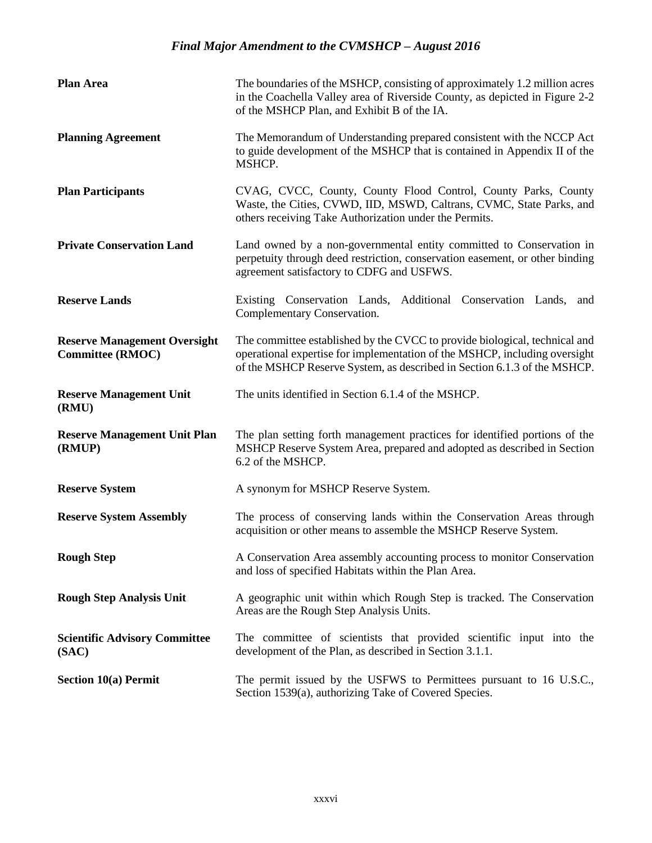| <b>Plan Area</b>                                               | The boundaries of the MSHCP, consisting of approximately 1.2 million acres<br>in the Coachella Valley area of Riverside County, as depicted in Figure 2-2<br>of the MSHCP Plan, and Exhibit B of the IA.                             |
|----------------------------------------------------------------|--------------------------------------------------------------------------------------------------------------------------------------------------------------------------------------------------------------------------------------|
| <b>Planning Agreement</b>                                      | The Memorandum of Understanding prepared consistent with the NCCP Act<br>to guide development of the MSHCP that is contained in Appendix II of the<br>MSHCP.                                                                         |
| <b>Plan Participants</b>                                       | CVAG, CVCC, County, County Flood Control, County Parks, County<br>Waste, the Cities, CVWD, IID, MSWD, Caltrans, CVMC, State Parks, and<br>others receiving Take Authorization under the Permits.                                     |
| <b>Private Conservation Land</b>                               | Land owned by a non-governmental entity committed to Conservation in<br>perpetuity through deed restriction, conservation easement, or other binding<br>agreement satisfactory to CDFG and USFWS.                                    |
| <b>Reserve Lands</b>                                           | Existing Conservation Lands, Additional Conservation Lands,<br>and<br>Complementary Conservation.                                                                                                                                    |
| <b>Reserve Management Oversight</b><br><b>Committee (RMOC)</b> | The committee established by the CVCC to provide biological, technical and<br>operational expertise for implementation of the MSHCP, including oversight<br>of the MSHCP Reserve System, as described in Section 6.1.3 of the MSHCP. |
| <b>Reserve Management Unit</b><br>(RMU)                        | The units identified in Section 6.1.4 of the MSHCP.                                                                                                                                                                                  |
| <b>Reserve Management Unit Plan</b><br>(RMUP)                  | The plan setting forth management practices for identified portions of the<br>MSHCP Reserve System Area, prepared and adopted as described in Section<br>6.2 of the MSHCP.                                                           |
| <b>Reserve System</b>                                          | A synonym for MSHCP Reserve System.                                                                                                                                                                                                  |
| <b>Reserve System Assembly</b>                                 | The process of conserving lands within the Conservation Areas through<br>acquisition or other means to assemble the MSHCP Reserve System.                                                                                            |
| <b>Rough Step</b>                                              | A Conservation Area assembly accounting process to monitor Conservation<br>and loss of specified Habitats within the Plan Area.                                                                                                      |
| <b>Rough Step Analysis Unit</b>                                | A geographic unit within which Rough Step is tracked. The Conservation<br>Areas are the Rough Step Analysis Units.                                                                                                                   |
| <b>Scientific Advisory Committee</b><br>(SAC)                  | The committee of scientists that provided scientific input into the<br>development of the Plan, as described in Section 3.1.1.                                                                                                       |
| <b>Section 10(a) Permit</b>                                    | The permit issued by the USFWS to Permittees pursuant to 16 U.S.C.,<br>Section 1539(a), authorizing Take of Covered Species.                                                                                                         |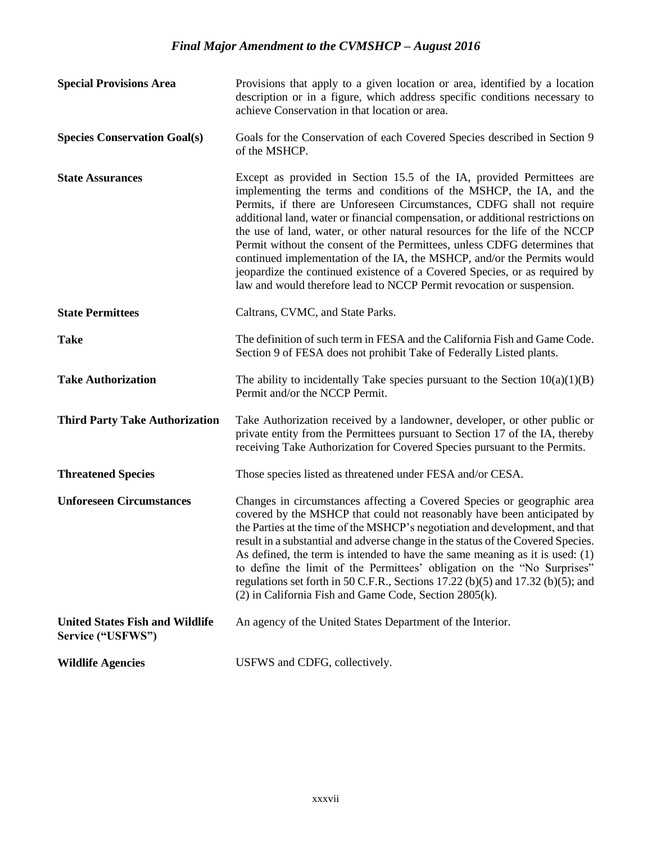| <b>Special Provisions Area</b>                              | Provisions that apply to a given location or area, identified by a location<br>description or in a figure, which address specific conditions necessary to<br>achieve Conservation in that location or area.                                                                                                                                                                                                                                                                                                                                                                                                                                                                                             |
|-------------------------------------------------------------|---------------------------------------------------------------------------------------------------------------------------------------------------------------------------------------------------------------------------------------------------------------------------------------------------------------------------------------------------------------------------------------------------------------------------------------------------------------------------------------------------------------------------------------------------------------------------------------------------------------------------------------------------------------------------------------------------------|
| <b>Species Conservation Goal(s)</b>                         | Goals for the Conservation of each Covered Species described in Section 9<br>of the MSHCP.                                                                                                                                                                                                                                                                                                                                                                                                                                                                                                                                                                                                              |
| <b>State Assurances</b>                                     | Except as provided in Section 15.5 of the IA, provided Permittees are<br>implementing the terms and conditions of the MSHCP, the IA, and the<br>Permits, if there are Unforeseen Circumstances, CDFG shall not require<br>additional land, water or financial compensation, or additional restrictions on<br>the use of land, water, or other natural resources for the life of the NCCP<br>Permit without the consent of the Permittees, unless CDFG determines that<br>continued implementation of the IA, the MSHCP, and/or the Permits would<br>jeopardize the continued existence of a Covered Species, or as required by<br>law and would therefore lead to NCCP Permit revocation or suspension. |
| <b>State Permittees</b>                                     | Caltrans, CVMC, and State Parks.                                                                                                                                                                                                                                                                                                                                                                                                                                                                                                                                                                                                                                                                        |
| <b>Take</b>                                                 | The definition of such term in FESA and the California Fish and Game Code.<br>Section 9 of FESA does not prohibit Take of Federally Listed plants.                                                                                                                                                                                                                                                                                                                                                                                                                                                                                                                                                      |
| <b>Take Authorization</b>                                   | The ability to incidentally Take species pursuant to the Section $10(a)(1)(B)$<br>Permit and/or the NCCP Permit.                                                                                                                                                                                                                                                                                                                                                                                                                                                                                                                                                                                        |
| <b>Third Party Take Authorization</b>                       | Take Authorization received by a landowner, developer, or other public or<br>private entity from the Permittees pursuant to Section 17 of the IA, thereby<br>receiving Take Authorization for Covered Species pursuant to the Permits.                                                                                                                                                                                                                                                                                                                                                                                                                                                                  |
| <b>Threatened Species</b>                                   | Those species listed as threatened under FESA and/or CESA.                                                                                                                                                                                                                                                                                                                                                                                                                                                                                                                                                                                                                                              |
| <b>Unforeseen Circumstances</b>                             | Changes in circumstances affecting a Covered Species or geographic area<br>covered by the MSHCP that could not reasonably have been anticipated by<br>the Parties at the time of the MSHCP's negotiation and development, and that<br>result in a substantial and adverse change in the status of the Covered Species.<br>As defined, the term is intended to have the same meaning as it is used: (1)<br>to define the limit of the Permittees' obligation on the "No Surprises"<br>regulations set forth in 50 C.F.R., Sections 17.22 (b)(5) and 17.32 (b)(5); and<br>(2) in California Fish and Game Code, Section 2805(k).                                                                          |
| <b>United States Fish and Wildlife</b><br>Service ("USFWS") | An agency of the United States Department of the Interior.                                                                                                                                                                                                                                                                                                                                                                                                                                                                                                                                                                                                                                              |
| <b>Wildlife Agencies</b>                                    | USFWS and CDFG, collectively.                                                                                                                                                                                                                                                                                                                                                                                                                                                                                                                                                                                                                                                                           |